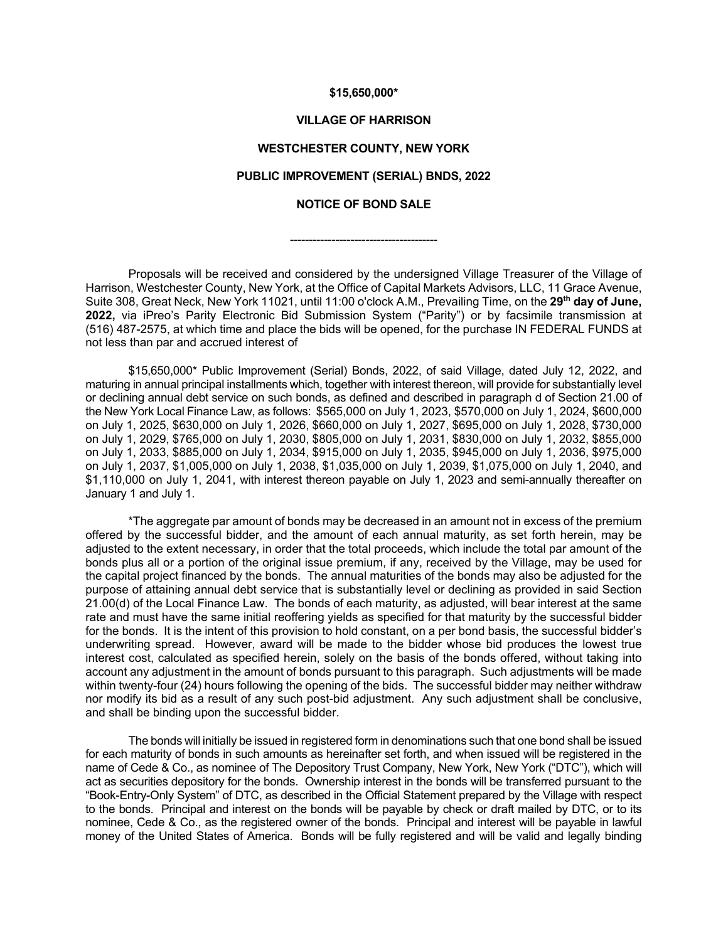### **\$15,650,000\***

## **VILLAGE OF HARRISON**

# **WESTCHESTER COUNTY, NEW YORK**

# **PUBLIC IMPROVEMENT (SERIAL) BNDS, 2022**

# **NOTICE OF BOND SALE**

---------------------------------------

Proposals will be received and considered by the undersigned Village Treasurer of the Village of Harrison, Westchester County, New York, at the Office of Capital Markets Advisors, LLC, 11 Grace Avenue, Suite 308, Great Neck, New York 11021, until 11:00 o'clock A.M., Prevailing Time, on the **29th day of June, 2022,** via iPreo's Parity Electronic Bid Submission System ("Parity") or by facsimile transmission at (516) 487-2575, at which time and place the bids will be opened, for the purchase IN FEDERAL FUNDS at not less than par and accrued interest of

\$15,650,000\* Public Improvement (Serial) Bonds, 2022, of said Village, dated July 12, 2022, and maturing in annual principal installments which, together with interest thereon, will provide for substantially level or declining annual debt service on such bonds, as defined and described in paragraph d of Section 21.00 of the New York Local Finance Law, as follows: \$565,000 on July 1, 2023, \$570,000 on July 1, 2024, \$600,000 on July 1, 2025, \$630,000 on July 1, 2026, \$660,000 on July 1, 2027, \$695,000 on July 1, 2028, \$730,000 on July 1, 2029, \$765,000 on July 1, 2030, \$805,000 on July 1, 2031, \$830,000 on July 1, 2032, \$855,000 on July 1, 2033, \$885,000 on July 1, 2034, \$915,000 on July 1, 2035, \$945,000 on July 1, 2036, \$975,000 on July 1, 2037, \$1,005,000 on July 1, 2038, \$1,035,000 on July 1, 2039, \$1,075,000 on July 1, 2040, and \$1,110,000 on July 1, 2041, with interest thereon payable on July 1, 2023 and semi-annually thereafter on January 1 and July 1.

\*The aggregate par amount of bonds may be decreased in an amount not in excess of the premium offered by the successful bidder, and the amount of each annual maturity, as set forth herein, may be adjusted to the extent necessary, in order that the total proceeds, which include the total par amount of the bonds plus all or a portion of the original issue premium, if any, received by the Village, may be used for the capital project financed by the bonds. The annual maturities of the bonds may also be adjusted for the purpose of attaining annual debt service that is substantially level or declining as provided in said Section 21.00(d) of the Local Finance Law. The bonds of each maturity, as adjusted, will bear interest at the same rate and must have the same initial reoffering yields as specified for that maturity by the successful bidder for the bonds. It is the intent of this provision to hold constant, on a per bond basis, the successful bidder's underwriting spread. However, award will be made to the bidder whose bid produces the lowest true interest cost, calculated as specified herein, solely on the basis of the bonds offered, without taking into account any adjustment in the amount of bonds pursuant to this paragraph. Such adjustments will be made within twenty-four (24) hours following the opening of the bids. The successful bidder may neither withdraw nor modify its bid as a result of any such post-bid adjustment. Any such adjustment shall be conclusive, and shall be binding upon the successful bidder.

The bonds will initially be issued in registered form in denominations such that one bond shall be issued for each maturity of bonds in such amounts as hereinafter set forth, and when issued will be registered in the name of Cede & Co., as nominee of The Depository Trust Company, New York, New York ("DTC"), which will act as securities depository for the bonds. Ownership interest in the bonds will be transferred pursuant to the "Book-Entry-Only System" of DTC, as described in the Official Statement prepared by the Village with respect to the bonds. Principal and interest on the bonds will be payable by check or draft mailed by DTC, or to its nominee, Cede & Co., as the registered owner of the bonds. Principal and interest will be payable in lawful money of the United States of America. Bonds will be fully registered and will be valid and legally binding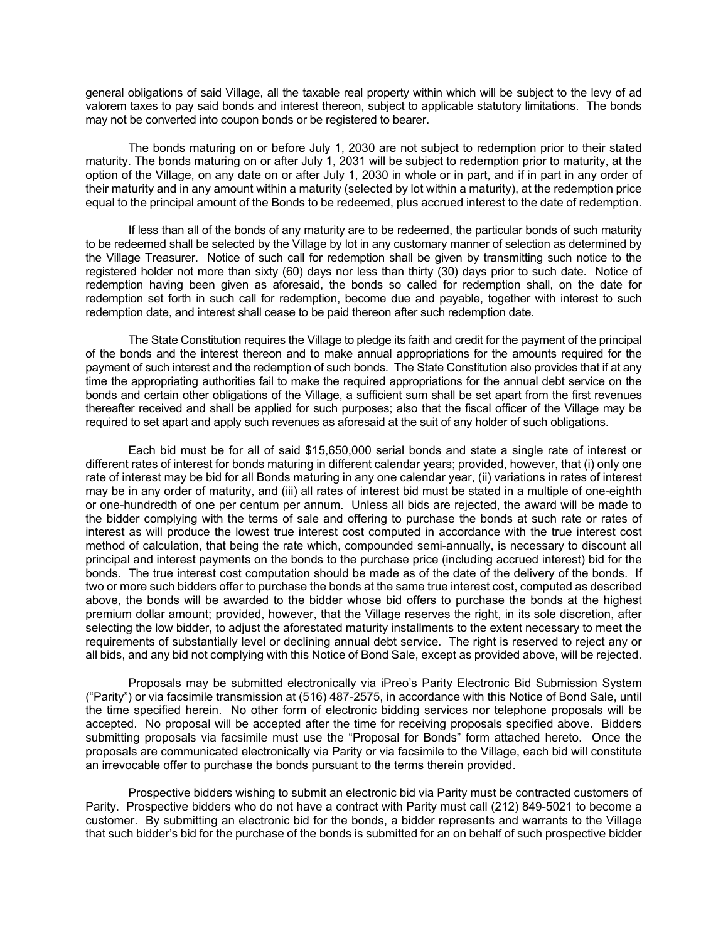general obligations of said Village, all the taxable real property within which will be subject to the levy of ad valorem taxes to pay said bonds and interest thereon, subject to applicable statutory limitations. The bonds may not be converted into coupon bonds or be registered to bearer.

The bonds maturing on or before July 1, 2030 are not subject to redemption prior to their stated maturity. The bonds maturing on or after July 1, 2031 will be subject to redemption prior to maturity, at the option of the Village, on any date on or after July 1, 2030 in whole or in part, and if in part in any order of their maturity and in any amount within a maturity (selected by lot within a maturity), at the redemption price equal to the principal amount of the Bonds to be redeemed, plus accrued interest to the date of redemption.

If less than all of the bonds of any maturity are to be redeemed, the particular bonds of such maturity to be redeemed shall be selected by the Village by lot in any customary manner of selection as determined by the Village Treasurer. Notice of such call for redemption shall be given by transmitting such notice to the registered holder not more than sixty (60) days nor less than thirty (30) days prior to such date. Notice of redemption having been given as aforesaid, the bonds so called for redemption shall, on the date for redemption set forth in such call for redemption, become due and payable, together with interest to such redemption date, and interest shall cease to be paid thereon after such redemption date.

The State Constitution requires the Village to pledge its faith and credit for the payment of the principal of the bonds and the interest thereon and to make annual appropriations for the amounts required for the payment of such interest and the redemption of such bonds. The State Constitution also provides that if at any time the appropriating authorities fail to make the required appropriations for the annual debt service on the bonds and certain other obligations of the Village, a sufficient sum shall be set apart from the first revenues thereafter received and shall be applied for such purposes; also that the fiscal officer of the Village may be required to set apart and apply such revenues as aforesaid at the suit of any holder of such obligations.

Each bid must be for all of said \$15,650,000 serial bonds and state a single rate of interest or different rates of interest for bonds maturing in different calendar years; provided, however, that (i) only one rate of interest may be bid for all Bonds maturing in any one calendar year, (ii) variations in rates of interest may be in any order of maturity, and (iii) all rates of interest bid must be stated in a multiple of one-eighth or one-hundredth of one per centum per annum. Unless all bids are rejected, the award will be made to the bidder complying with the terms of sale and offering to purchase the bonds at such rate or rates of interest as will produce the lowest true interest cost computed in accordance with the true interest cost method of calculation, that being the rate which, compounded semi-annually, is necessary to discount all principal and interest payments on the bonds to the purchase price (including accrued interest) bid for the bonds. The true interest cost computation should be made as of the date of the delivery of the bonds. If two or more such bidders offer to purchase the bonds at the same true interest cost, computed as described above, the bonds will be awarded to the bidder whose bid offers to purchase the bonds at the highest premium dollar amount; provided, however, that the Village reserves the right, in its sole discretion, after selecting the low bidder, to adjust the aforestated maturity installments to the extent necessary to meet the requirements of substantially level or declining annual debt service. The right is reserved to reject any or all bids, and any bid not complying with this Notice of Bond Sale, except as provided above, will be rejected.

Proposals may be submitted electronically via iPreo's Parity Electronic Bid Submission System ("Parity") or via facsimile transmission at (516) 487-2575, in accordance with this Notice of Bond Sale, until the time specified herein. No other form of electronic bidding services nor telephone proposals will be accepted. No proposal will be accepted after the time for receiving proposals specified above. Bidders submitting proposals via facsimile must use the "Proposal for Bonds" form attached hereto. Once the proposals are communicated electronically via Parity or via facsimile to the Village, each bid will constitute an irrevocable offer to purchase the bonds pursuant to the terms therein provided.

Prospective bidders wishing to submit an electronic bid via Parity must be contracted customers of Parity. Prospective bidders who do not have a contract with Parity must call (212) 849-5021 to become a customer. By submitting an electronic bid for the bonds, a bidder represents and warrants to the Village that such bidder's bid for the purchase of the bonds is submitted for an on behalf of such prospective bidder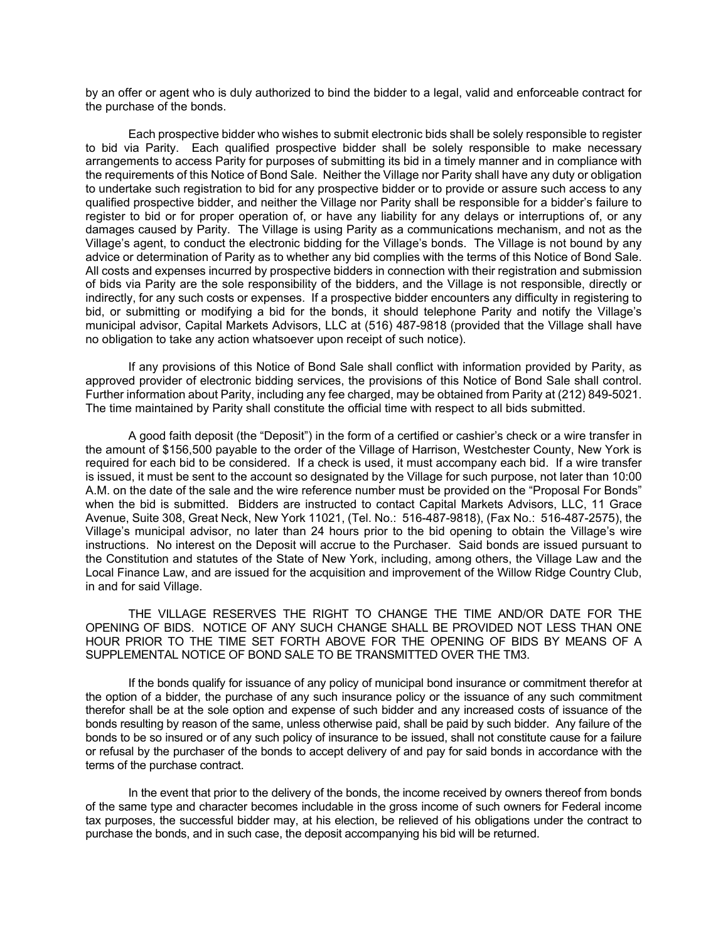by an offer or agent who is duly authorized to bind the bidder to a legal, valid and enforceable contract for the purchase of the bonds.

Each prospective bidder who wishes to submit electronic bids shall be solely responsible to register to bid via Parity. Each qualified prospective bidder shall be solely responsible to make necessary arrangements to access Parity for purposes of submitting its bid in a timely manner and in compliance with the requirements of this Notice of Bond Sale. Neither the Village nor Parity shall have any duty or obligation to undertake such registration to bid for any prospective bidder or to provide or assure such access to any qualified prospective bidder, and neither the Village nor Parity shall be responsible for a bidder's failure to register to bid or for proper operation of, or have any liability for any delays or interruptions of, or any damages caused by Parity. The Village is using Parity as a communications mechanism, and not as the Village's agent, to conduct the electronic bidding for the Village's bonds. The Village is not bound by any advice or determination of Parity as to whether any bid complies with the terms of this Notice of Bond Sale. All costs and expenses incurred by prospective bidders in connection with their registration and submission of bids via Parity are the sole responsibility of the bidders, and the Village is not responsible, directly or indirectly, for any such costs or expenses. If a prospective bidder encounters any difficulty in registering to bid, or submitting or modifying a bid for the bonds, it should telephone Parity and notify the Village's municipal advisor, Capital Markets Advisors, LLC at (516) 487-9818 (provided that the Village shall have no obligation to take any action whatsoever upon receipt of such notice).

If any provisions of this Notice of Bond Sale shall conflict with information provided by Parity, as approved provider of electronic bidding services, the provisions of this Notice of Bond Sale shall control. Further information about Parity, including any fee charged, may be obtained from Parity at (212) 849-5021. The time maintained by Parity shall constitute the official time with respect to all bids submitted.

A good faith deposit (the "Deposit") in the form of a certified or cashier's check or a wire transfer in the amount of \$156,500 payable to the order of the Village of Harrison, Westchester County, New York is required for each bid to be considered. If a check is used, it must accompany each bid. If a wire transfer is issued, it must be sent to the account so designated by the Village for such purpose, not later than 10:00 A.M. on the date of the sale and the wire reference number must be provided on the "Proposal For Bonds" when the bid is submitted. Bidders are instructed to contact Capital Markets Advisors, LLC, 11 Grace Avenue, Suite 308, Great Neck, New York 11021, (Tel. No.: 516-487-9818), (Fax No.: 516-487-2575), the Village's municipal advisor, no later than 24 hours prior to the bid opening to obtain the Village's wire instructions. No interest on the Deposit will accrue to the Purchaser. Said bonds are issued pursuant to the Constitution and statutes of the State of New York, including, among others, the Village Law and the Local Finance Law, and are issued for the acquisition and improvement of the Willow Ridge Country Club, in and for said Village.

THE VILLAGE RESERVES THE RIGHT TO CHANGE THE TIME AND/OR DATE FOR THE OPENING OF BIDS. NOTICE OF ANY SUCH CHANGE SHALL BE PROVIDED NOT LESS THAN ONE HOUR PRIOR TO THE TIME SET FORTH ABOVE FOR THE OPENING OF BIDS BY MEANS OF A SUPPLEMENTAL NOTICE OF BOND SALE TO BE TRANSMITTED OVER THE TM3.

If the bonds qualify for issuance of any policy of municipal bond insurance or commitment therefor at the option of a bidder, the purchase of any such insurance policy or the issuance of any such commitment therefor shall be at the sole option and expense of such bidder and any increased costs of issuance of the bonds resulting by reason of the same, unless otherwise paid, shall be paid by such bidder. Any failure of the bonds to be so insured or of any such policy of insurance to be issued, shall not constitute cause for a failure or refusal by the purchaser of the bonds to accept delivery of and pay for said bonds in accordance with the terms of the purchase contract.

In the event that prior to the delivery of the bonds, the income received by owners thereof from bonds of the same type and character becomes includable in the gross income of such owners for Federal income tax purposes, the successful bidder may, at his election, be relieved of his obligations under the contract to purchase the bonds, and in such case, the deposit accompanying his bid will be returned.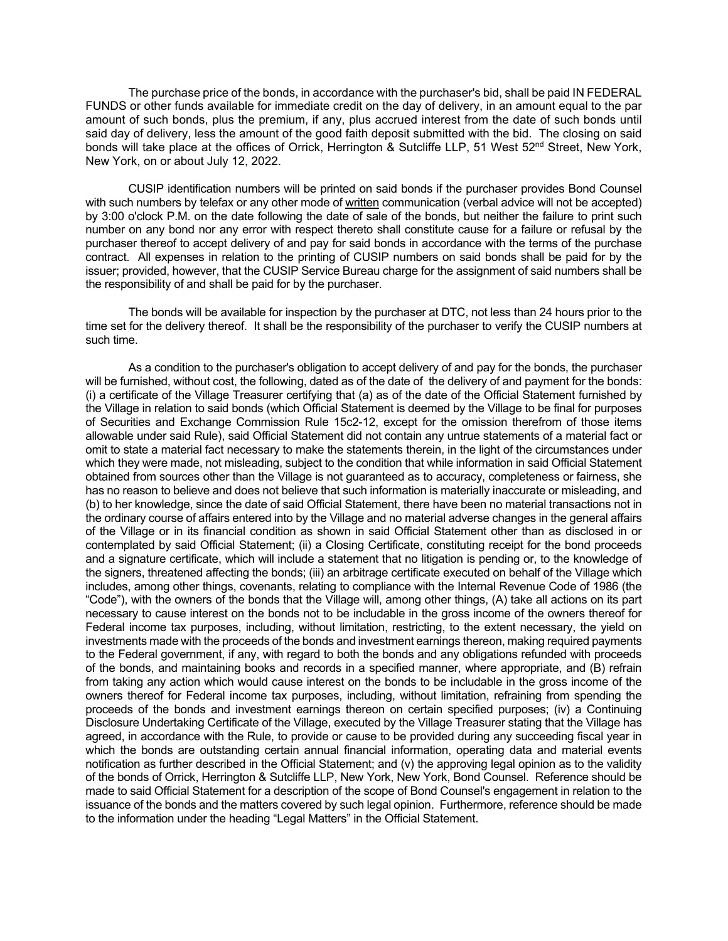The purchase price of the bonds, in accordance with the purchaser's bid, shall be paid IN FEDERAL FUNDS or other funds available for immediate credit on the day of delivery, in an amount equal to the par amount of such bonds, plus the premium, if any, plus accrued interest from the date of such bonds until said day of delivery, less the amount of the good faith deposit submitted with the bid. The closing on said bonds will take place at the offices of Orrick, Herrington & Sutcliffe LLP, 51 West 52<sup>nd</sup> Street, New York, New York, on or about July 12, 2022.

CUSIP identification numbers will be printed on said bonds if the purchaser provides Bond Counsel with such numbers by telefax or any other mode of written communication (verbal advice will not be accepted) by 3:00 o'clock P.M. on the date following the date of sale of the bonds, but neither the failure to print such number on any bond nor any error with respect thereto shall constitute cause for a failure or refusal by the purchaser thereof to accept delivery of and pay for said bonds in accordance with the terms of the purchase contract. All expenses in relation to the printing of CUSIP numbers on said bonds shall be paid for by the issuer; provided, however, that the CUSIP Service Bureau charge for the assignment of said numbers shall be the responsibility of and shall be paid for by the purchaser.

The bonds will be available for inspection by the purchaser at DTC, not less than 24 hours prior to the time set for the delivery thereof. It shall be the responsibility of the purchaser to verify the CUSIP numbers at such time.

As a condition to the purchaser's obligation to accept delivery of and pay for the bonds, the purchaser will be furnished, without cost, the following, dated as of the date of the delivery of and payment for the bonds: (i) a certificate of the Village Treasurer certifying that (a) as of the date of the Official Statement furnished by the Village in relation to said bonds (which Official Statement is deemed by the Village to be final for purposes of Securities and Exchange Commission Rule 15c2-12, except for the omission therefrom of those items allowable under said Rule), said Official Statement did not contain any untrue statements of a material fact or omit to state a material fact necessary to make the statements therein, in the light of the circumstances under which they were made, not misleading, subject to the condition that while information in said Official Statement obtained from sources other than the Village is not guaranteed as to accuracy, completeness or fairness, she has no reason to believe and does not believe that such information is materially inaccurate or misleading, and (b) to her knowledge, since the date of said Official Statement, there have been no material transactions not in the ordinary course of affairs entered into by the Village and no material adverse changes in the general affairs of the Village or in its financial condition as shown in said Official Statement other than as disclosed in or contemplated by said Official Statement; (ii) a Closing Certificate, constituting receipt for the bond proceeds and a signature certificate, which will include a statement that no litigation is pending or, to the knowledge of the signers, threatened affecting the bonds; (iii) an arbitrage certificate executed on behalf of the Village which includes, among other things, covenants, relating to compliance with the Internal Revenue Code of 1986 (the "Code"), with the owners of the bonds that the Village will, among other things, (A) take all actions on its part necessary to cause interest on the bonds not to be includable in the gross income of the owners thereof for Federal income tax purposes, including, without limitation, restricting, to the extent necessary, the yield on investments made with the proceeds of the bonds and investment earnings thereon, making required payments to the Federal government, if any, with regard to both the bonds and any obligations refunded with proceeds of the bonds, and maintaining books and records in a specified manner, where appropriate, and (B) refrain from taking any action which would cause interest on the bonds to be includable in the gross income of the owners thereof for Federal income tax purposes, including, without limitation, refraining from spending the proceeds of the bonds and investment earnings thereon on certain specified purposes; (iv) a Continuing Disclosure Undertaking Certificate of the Village, executed by the Village Treasurer stating that the Village has agreed, in accordance with the Rule, to provide or cause to be provided during any succeeding fiscal year in which the bonds are outstanding certain annual financial information, operating data and material events notification as further described in the Official Statement; and (v) the approving legal opinion as to the validity of the bonds of Orrick, Herrington & Sutcliffe LLP, New York, New York, Bond Counsel. Reference should be made to said Official Statement for a description of the scope of Bond Counsel's engagement in relation to the issuance of the bonds and the matters covered by such legal opinion. Furthermore, reference should be made to the information under the heading "Legal Matters" in the Official Statement.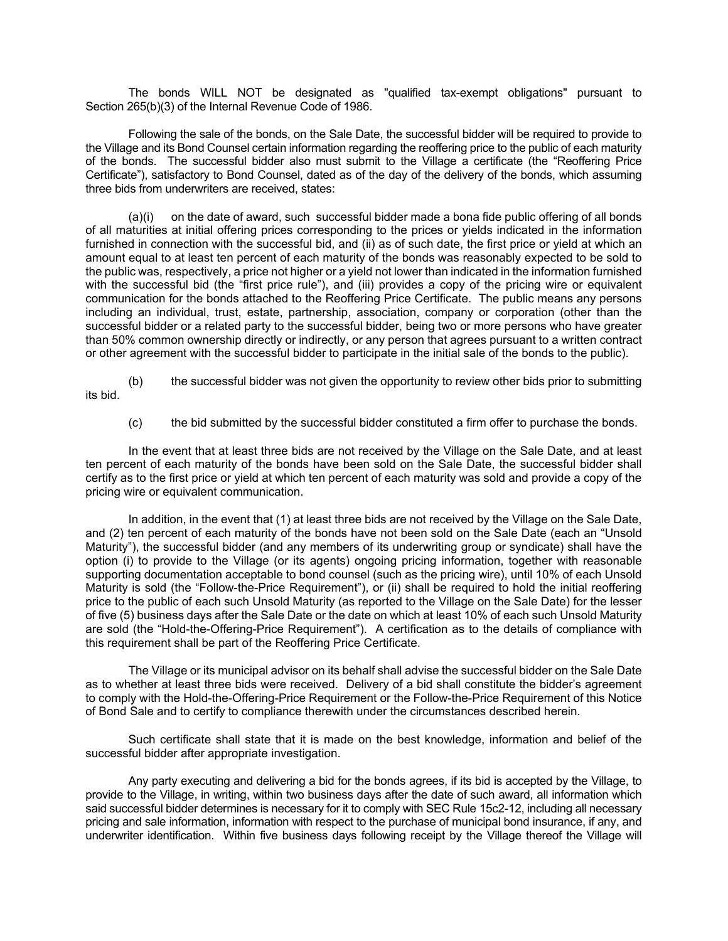The bonds WILL NOT be designated as "qualified tax-exempt obligations" pursuant to Section 265(b)(3) of the Internal Revenue Code of 1986.

Following the sale of the bonds, on the Sale Date, the successful bidder will be required to provide to the Village and its Bond Counsel certain information regarding the reoffering price to the public of each maturity of the bonds. The successful bidder also must submit to the Village a certificate (the "Reoffering Price Certificate"), satisfactory to Bond Counsel, dated as of the day of the delivery of the bonds, which assuming three bids from underwriters are received, states:

(a)(i) on the date of award, such successful bidder made a bona fide public offering of all bonds of all maturities at initial offering prices corresponding to the prices or yields indicated in the information furnished in connection with the successful bid, and (ii) as of such date, the first price or yield at which an amount equal to at least ten percent of each maturity of the bonds was reasonably expected to be sold to the public was, respectively, a price not higher or a yield not lower than indicated in the information furnished with the successful bid (the "first price rule"), and (iii) provides a copy of the pricing wire or equivalent communication for the bonds attached to the Reoffering Price Certificate. The public means any persons including an individual, trust, estate, partnership, association, company or corporation (other than the successful bidder or a related party to the successful bidder, being two or more persons who have greater than 50% common ownership directly or indirectly, or any person that agrees pursuant to a written contract or other agreement with the successful bidder to participate in the initial sale of the bonds to the public).

(b) the successful bidder was not given the opportunity to review other bids prior to submitting its bid.

(c) the bid submitted by the successful bidder constituted a firm offer to purchase the bonds.

In the event that at least three bids are not received by the Village on the Sale Date, and at least ten percent of each maturity of the bonds have been sold on the Sale Date, the successful bidder shall certify as to the first price or yield at which ten percent of each maturity was sold and provide a copy of the pricing wire or equivalent communication.

In addition, in the event that (1) at least three bids are not received by the Village on the Sale Date, and (2) ten percent of each maturity of the bonds have not been sold on the Sale Date (each an "Unsold Maturity"), the successful bidder (and any members of its underwriting group or syndicate) shall have the option (i) to provide to the Village (or its agents) ongoing pricing information, together with reasonable supporting documentation acceptable to bond counsel (such as the pricing wire), until 10% of each Unsold Maturity is sold (the "Follow-the-Price Requirement"), or (ii) shall be required to hold the initial reoffering price to the public of each such Unsold Maturity (as reported to the Village on the Sale Date) for the lesser of five (5) business days after the Sale Date or the date on which at least 10% of each such Unsold Maturity are sold (the "Hold-the-Offering-Price Requirement"). A certification as to the details of compliance with this requirement shall be part of the Reoffering Price Certificate.

The Village or its municipal advisor on its behalf shall advise the successful bidder on the Sale Date as to whether at least three bids were received. Delivery of a bid shall constitute the bidder's agreement to comply with the Hold-the-Offering-Price Requirement or the Follow-the-Price Requirement of this Notice of Bond Sale and to certify to compliance therewith under the circumstances described herein.

Such certificate shall state that it is made on the best knowledge, information and belief of the successful bidder after appropriate investigation.

Any party executing and delivering a bid for the bonds agrees, if its bid is accepted by the Village, to provide to the Village, in writing, within two business days after the date of such award, all information which said successful bidder determines is necessary for it to comply with SEC Rule 15c2-12, including all necessary pricing and sale information, information with respect to the purchase of municipal bond insurance, if any, and underwriter identification. Within five business days following receipt by the Village thereof the Village will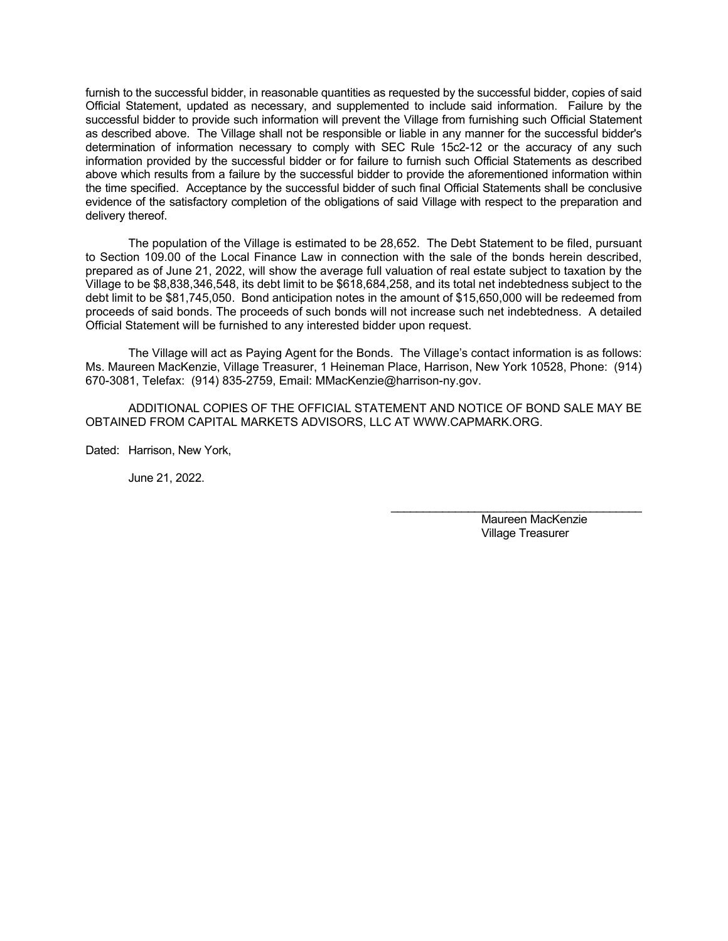furnish to the successful bidder, in reasonable quantities as requested by the successful bidder, copies of said Official Statement, updated as necessary, and supplemented to include said information. Failure by the successful bidder to provide such information will prevent the Village from furnishing such Official Statement as described above. The Village shall not be responsible or liable in any manner for the successful bidder's determination of information necessary to comply with SEC Rule 15c2-12 or the accuracy of any such information provided by the successful bidder or for failure to furnish such Official Statements as described above which results from a failure by the successful bidder to provide the aforementioned information within the time specified. Acceptance by the successful bidder of such final Official Statements shall be conclusive evidence of the satisfactory completion of the obligations of said Village with respect to the preparation and delivery thereof.

The population of the Village is estimated to be 28,652. The Debt Statement to be filed, pursuant to Section 109.00 of the Local Finance Law in connection with the sale of the bonds herein described, prepared as of June 21, 2022, will show the average full valuation of real estate subject to taxation by the Village to be \$8,838,346,548, its debt limit to be \$618,684,258, and its total net indebtedness subject to the debt limit to be \$81,745,050. Bond anticipation notes in the amount of \$15,650,000 will be redeemed from proceeds of said bonds. The proceeds of such bonds will not increase such net indebtedness. A detailed Official Statement will be furnished to any interested bidder upon request.

The Village will act as Paying Agent for the Bonds. The Village's contact information is as follows: Ms. Maureen MacKenzie, Village Treasurer, 1 Heineman Place, Harrison, New York 10528, Phone: (914) 670-3081, Telefax: (914) 835-2759, Email: MMacKenzie@harrison-ny.gov.

ADDITIONAL COPIES OF THE OFFICIAL STATEMENT AND NOTICE OF BOND SALE MAY BE OBTAINED FROM CAPITAL MARKETS ADVISORS, LLC AT WWW.CAPMARK.ORG.

Dated: Harrison, New York,

June 21, 2022.

 Maureen MacKenzie Village Treasurer

\_\_\_\_\_\_\_\_\_\_\_\_\_\_\_\_\_\_\_\_\_\_\_\_\_\_\_\_\_\_\_\_\_\_\_\_\_\_\_